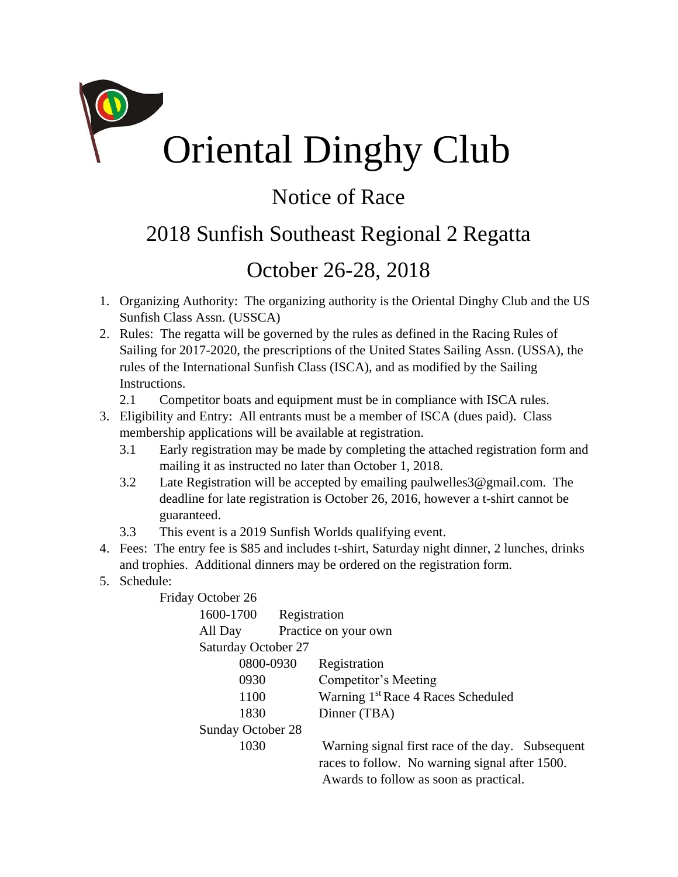

## Notice of Race

## 2018 Sunfish Southeast Regional 2 Regatta

## October 26-28, 2018

- 1. Organizing Authority: The organizing authority is the Oriental Dinghy Club and the US Sunfish Class Assn. (USSCA)
- 2. Rules: The regatta will be governed by the rules as defined in the Racing Rules of Sailing for 2017-2020, the prescriptions of the United States Sailing Assn. (USSA), the rules of the International Sunfish Class (ISCA), and as modified by the Sailing Instructions.
	- 2.1 Competitor boats and equipment must be in compliance with ISCA rules.
- 3. Eligibility and Entry: All entrants must be a member of ISCA (dues paid). Class membership applications will be available at registration.
	- 3.1 Early registration may be made by completing the attached registration form and mailing it as instructed no later than October 1, 2018.
	- 3.2 Late Registration will be accepted by emailing paulwelles3@gmail.com. The deadline for late registration is October 26, 2016, however a t-shirt cannot be guaranteed.
	- 3.3 This event is a 2019 Sunfish Worlds qualifying event.
- 4. Fees: The entry fee is \$85 and includes t-shirt, Saturday night dinner, 2 lunches, drinks and trophies. Additional dinners may be ordered on the registration form.
- 5. Schedule:

Friday October 26

| 1600-1700                  | Registration |                                                  |
|----------------------------|--------------|--------------------------------------------------|
| All Day                    |              | Practice on your own                             |
| <b>Saturday October 27</b> |              |                                                  |
| 0800-0930                  |              | Registration                                     |
| 0930                       |              | Competitor's Meeting                             |
| 1100                       |              | Warning 1 <sup>st</sup> Race 4 Races Scheduled   |
| 1830                       |              | Dinner (TBA)                                     |
| Sunday October 28          |              |                                                  |
| 1030                       |              | Warning signal first race of the day. Subsequent |
|                            |              | races to follow. No warning signal after 1500.   |
|                            |              | Awards to follow as soon as practical.           |